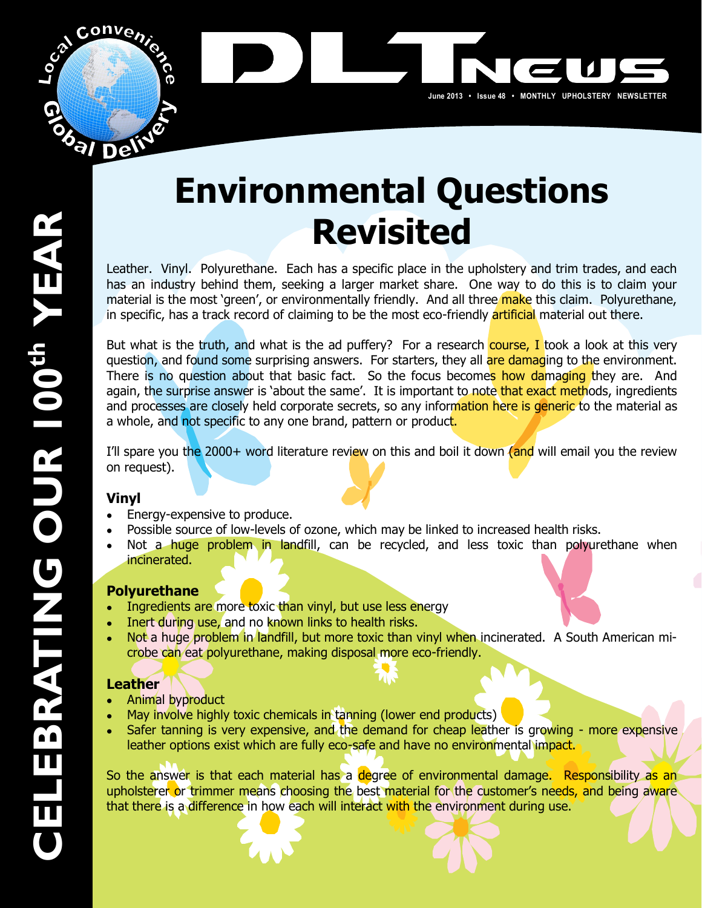

# **Environmental,Questions Revisited**

June 2013 · Issue 48 · MONTHLY UPHOLSTERY NEWSLETTER

Leather. Vinyl. Polyurethane. Each has a specific place in the upholstery and trim trades, and each has an industry behind them, seeking a larger market share. One way to do this is to claim your material is the most 'green', or environmentally friendly. And all three make this claim. Polyurethane, in specific, has a track record of claiming to be the most eco-friendly artificial material out there.

But what is the truth, and what is the ad puffery? For a research course, I took a look at this very question, and found some surprising answers. For starters, they all are damaging to the environment. There is no question about that basic fact. So the focus becomes how damaging they are. And again, the surprise answer is 'about the same'. It is important to note that exact methods, ingredients and processes are closely held corporate secrets, so any information here is generic to the material as a whole, and not specific to any one brand, pattern or product.

I'll spare you the 2000+ word literature review on this and boil it down (and will email you the review on request).

### **Vinyl**

- Energy-expensive to produce.
- Possible source of low-levels of ozone, which may be linked to increased health risks.
- Not a huge problem in landfill, can be recycled, and less toxic than polyurethane when  $\bullet$ incinerated.

### **Polyurethane**

- Ingredients are more toxic than vinyl, but use less energy
- Inert during use, and no known links to health risks.  $\bullet$
- Not a huge problem in landfill, but more toxic than vinyl when incinerated. A South American microbe can eat polyurethane, making disposal more eco-friendly.

### **Leather**

- Animal byproduct  $\bullet$
- May involve highly toxic chemicals in tanning (lower end products)  $\bullet$
- Safer tanning is very expensive, and the demand for cheap leather is growing more expensive  $\bullet$ leather options exist which are fully eco-safe and have no environmental impact.

So the answer is that each material has a degree of environmental damage. Responsibility as an upholsterer or trimmer means choosing the best material for the customer's needs, and being aware that there is a difference in how each will interact with the environment during use.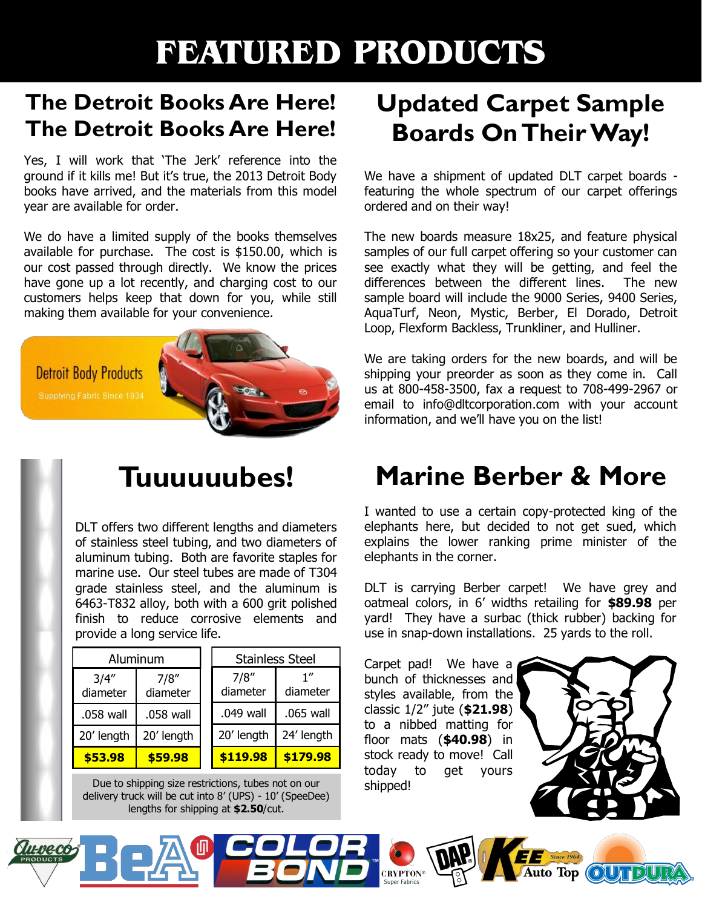## **FEATURED PRODUCTS**

### **The Detroit Books Are Here! The Detroit Books Are Here!**

Yes. I will work that 'The Jerk' reference into the ground if it kills me! But it's true, the 2013 Detroit Body books have arrived, and the materials from this model year are available for order.

We do have a limited supply of the books themselves available for purchase. The cost is  $$150.00$ , which is our cost passed through directly. We know the prices have gone up a lot recently, and charging cost to our customers helps keep that down for you, while still making them available for your convenience.



DLT offers two different lengths and diameters of stainless steel tubing, and two diameters of aluminum tubing. Both are favorite staples for marine use. Our steel tubes are made of T304 grade stainless steel, and the aluminum is 6463-T832 alloy, both with a 600 grit polished finish to reduce corrosive elements and provide a long service life.

| Aluminum          |                   | <b>Stainless Steel</b> |                 |
|-------------------|-------------------|------------------------|-----------------|
| 3/4''<br>diameter | 7/8''<br>diameter | 7/8''<br>diameter      | 1''<br>diameter |
| .058 wall         | .058 wall         | .049 wall              | .065 wall       |
| 20' length        | 20' length        | 20' length             | 24' length      |
| \$53.98           | \$59.98           | \$119.98               | \$179.98        |

Due to shipping size restrictions, tubes not on our delivery truck will be cut into 8' (UPS) - 10' (SpeeDee) lengths for shipping at \$2.50/cut.

### **Updated Carpet Sample Boards On Their Way!**

We have a shipment of updated DLT carpet boards featuring the whole spectrum of our carpet offerings ordered and on their way!

The new boards measure 18x25, and feature physical samples of our full carpet offering so your customer can see exactly what they will be getting, and feel the differences between the different lines. The new sample board will include the 9000 Series, 9400 Series, AquaTurf, Neon, Mystic, Berber, El Dorado, Detroit Loop, Flexform Backless, Trunkliner, and Hulliner.

We are taking orders for the new boards, and will be shipping your preorder as soon as they come in. Call us at 800-458-3500, fax a request to 708-499-2967 or email to info@dltcorporation.com with your account information, and we'll have you on the list!

## **Tuuuuuubes! Marine Berber & More**

I wanted to use a certain copy-protected king of the elephants here, but decided to not get sued, which explains the lower ranking prime minister of the elephants in the corner.

DLT is carrying Berber carpet! We have grey and oatmeal colors, in 6' widths retailing for \$89.98 per yard! They have a surbac (thick rubber) backing for use in snap-down installations. 25 yards to the roll.

Carpet pad! We have a bunch of thicknesses and styles available, from the classic 1/2" jute (\$21.98) to a nibbed matting for floor mats (**\$40.98**) in stock ready to move! Call today to get yours shipped!



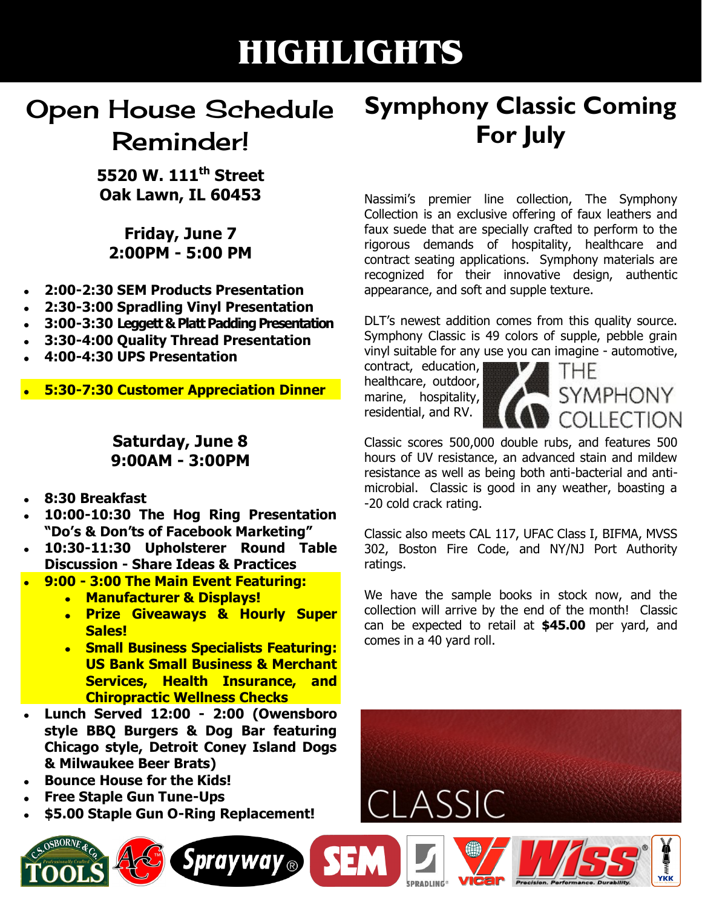## **HIGHLIGHTS**

### Open House Schedule Reminder!

**5520,W.,111th Street Oak,Lawn,,IL,60453,**

**Friday, June 7 2:00PM - 5:00 PM** 

- **2:00-2:30 SEM Products Presentation**
- **2:30N3:00,Spradling,Vinyl,Presentation**
- **3:00N3:30,Leggett,&,Platt,Padding,Presentation**
- **3:30N4:00,Quality,Thread,Presentation**
- **4:00N4:30,UPS,Presentation**
- **5:30-7:30 Customer Appreciation Dinner**

### Saturday, June 8 **9:00AM - 3:00PM**

- **8:30,Breakfast**
- 10:00-10:30 The Hog Ring Presentation "Do's & Don'ts of Facebook Marketing"
- **10:30N11:30, Upholsterer, Round, Table, Discussion - Share Ideas & Practices**
- **9:00 3:00 The Main Event Featuring:** 
	- **Manufacturer & Displays!**
	- **Prize, Giveaways, &, Hourly, Super, Sales!**
	- **Small Business Specialists Featuring: US Bank Small Business & Merchant Services, Health Insurance, and Chiropractic Wellness Checks**

Sprayway<sub>®</sub>

- **Lunch, Served, 12:00, N 2:00, (Owensboro, style, BBQ, Burgers, &, Dog, Bar, featuring, Chicago, style,, Detroit, Coney, Island, Dogs, &,Milwaukee,Beer,Brats)**
- **Bounce House for the Kids!**
- **Free Staple Gun Tune-Ups**
- \$5.00 Staple Gun O-Ring Replacement!



Nassimi's premier line collection, The Symphony Collection is an exclusive offering of faux leathers and faux suede that are specially crafted to perform to the rigorous demands of hospitality, healthcare and contract seating applications. Symphony materials are recognized for their innovative design, authentic appearance, and soft and supple texture.

DLT's newest addition comes from this quality source. Symphony Classic is 49 colors of supple, pebble grain vinyl suitable for any use you can imagine - automotive,

contract, education, healthcare, outdoor, marine, hospitality, residential, and RV.



Classic scores 500,000 double rubs, and features 500 hours of UV resistance, an advanced stain and mildew resistance as well as being both anti-bacterial and antimicrobial. Classic is good in any weather, boasting a -20 cold crack rating.

Classic also meets CAL 117, UFAC Class I, BIFMA, MVSS 302, Boston Fire Code, and NY/NJ Port Authority ratings.

We have the sample books in stock now, and the collection will arrive by the end of the month! Classic can be expected to retail at **\$45.00** per yard, and comes in a 40 yard roll.